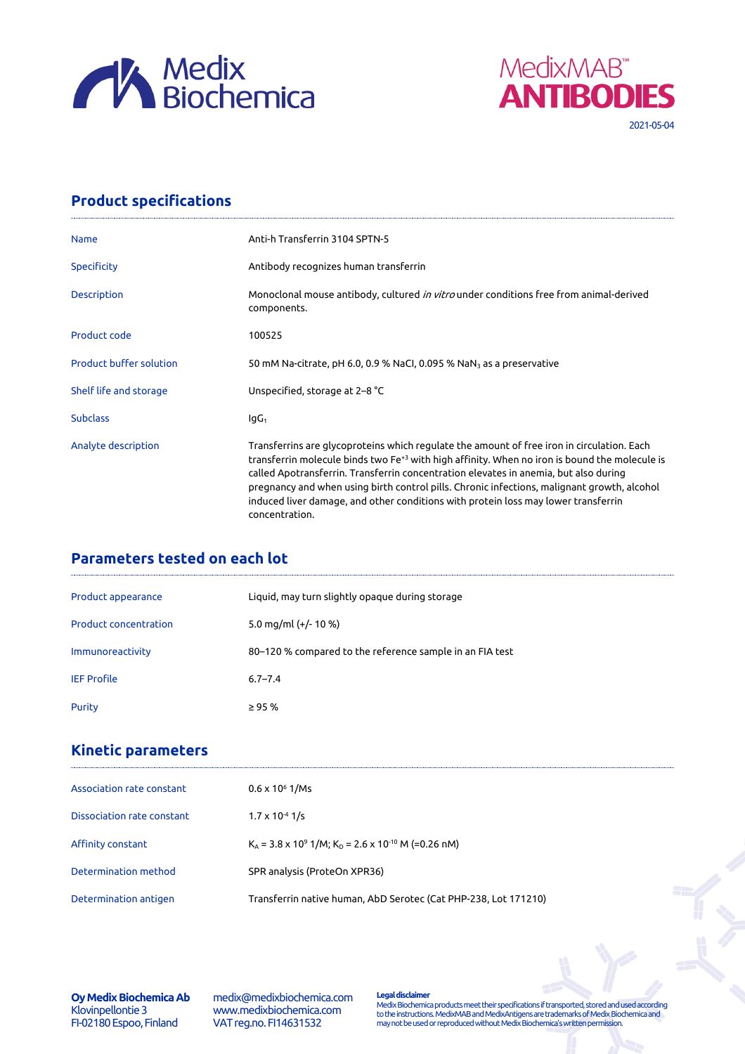



## **Product specifications**

| <b>Name</b>                    | Anti-h Transferrin 3104 SPTN-5                                                                                                                                                                                                                                                                                                                                                                                                                                                                         |
|--------------------------------|--------------------------------------------------------------------------------------------------------------------------------------------------------------------------------------------------------------------------------------------------------------------------------------------------------------------------------------------------------------------------------------------------------------------------------------------------------------------------------------------------------|
| <b>Specificity</b>             | Antibody recognizes human transferrin                                                                                                                                                                                                                                                                                                                                                                                                                                                                  |
| Description                    | Monoclonal mouse antibody, cultured <i>in vitro</i> under conditions free from animal-derived<br>components.                                                                                                                                                                                                                                                                                                                                                                                           |
| Product code                   | 100525                                                                                                                                                                                                                                                                                                                                                                                                                                                                                                 |
| <b>Product buffer solution</b> | 50 mM Na-citrate, pH 6.0, 0.9 % NaCl, 0.095 % NaN <sub>3</sub> as a preservative                                                                                                                                                                                                                                                                                                                                                                                                                       |
| Shelf life and storage         | Unspecified, storage at 2–8 °C                                                                                                                                                                                                                                                                                                                                                                                                                                                                         |
| <b>Subclass</b>                | lgG <sub>1</sub>                                                                                                                                                                                                                                                                                                                                                                                                                                                                                       |
| Analyte description            | Transferrins are glycoproteins which regulate the amount of free iron in circulation. Each<br>transferrin molecule binds two Fe <sup>+3</sup> with high affinity. When no iron is bound the molecule is<br>called Apotransferrin. Transferrin concentration elevates in anemia, but also during<br>pregnancy and when using birth control pills. Chronic infections, malignant growth, alcohol<br>induced liver damage, and other conditions with protein loss may lower transferrin<br>concentration. |

## **Parameters tested on each lot**

| Product appearance           | Liquid, may turn slightly opaque during storage          |
|------------------------------|----------------------------------------------------------|
| <b>Product concentration</b> | 5.0 mg/ml $(+/- 10 %$                                    |
| Immunoreactivity             | 80–120 % compared to the reference sample in an FIA test |
| <b>IEF Profile</b>           | $6.7 - 7.4$                                              |
| Purity                       | $\geq$ 95 %                                              |

## **Kinetic parameters**

| Association rate constant  | $0.6 \times 10^6$ 1/Ms                                                          |
|----------------------------|---------------------------------------------------------------------------------|
| Dissociation rate constant | $1.7 \times 10^{-4}$ 1/s                                                        |
| Affinity constant          | $K_A$ = 3.8 x 10 <sup>9</sup> 1/M; $K_D$ = 2.6 x 10 <sup>-10</sup> M (=0.26 nM) |
| Determination method       | SPR analysis (ProteOn XPR36)                                                    |
| Determination antigen      | Transferrin native human, AbD Serotec (Cat PHP-238, Lot 171210)                 |

**Oy Medix Biochemica Ab** Klovinpellontie 3 FI-02180 Espoo, Finland

medix@medixbiochemica.com www.medixbiochemica.com VAT reg.no. FI14631532

**Legal disclaimer** Medix Biochemica products meet their specifications if transported, stored and used according to the instructions. MedixMAB and MedixAntigens are trademarks of Medix Biochemica and may not be used or reproduced without Medix Biochemica's written permission.